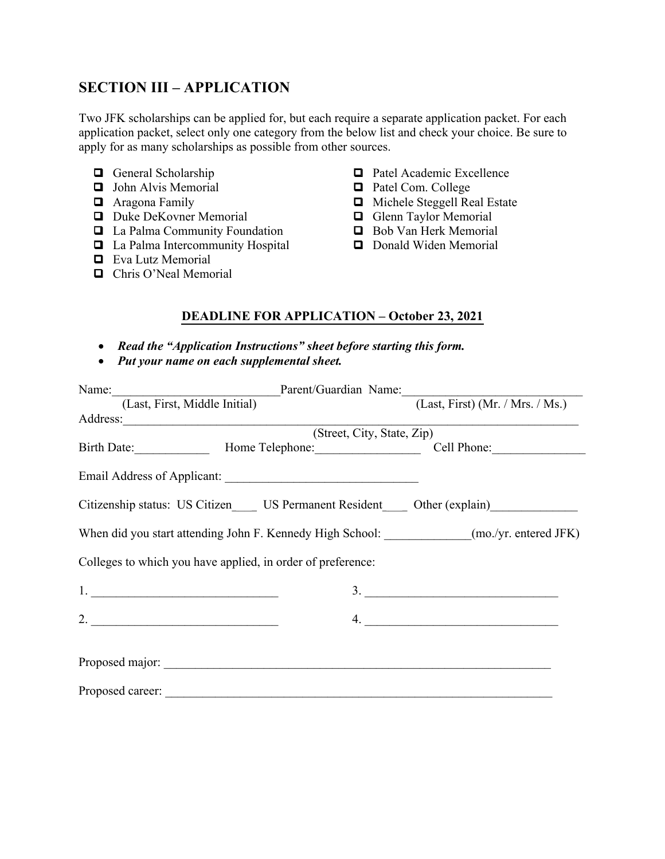# **SECTION III – APPLICATION**

Two JFK scholarships can be applied for, but each require a separate application packet. For each application packet, select only one category from the below list and check your choice. Be sure to apply for as many scholarships as possible from other sources.

- General Scholarship
- $\Box$  John Alvis Memorial
- $\Box$  Aragona Family
- Duke DeKovner Memorial
- $\Box$  La Palma Community Foundation
- **□** La Palma Intercommunity Hospital
- **Q** Eva Lutz Memorial
- □ Chris O'Neal Memorial
- **Q** Patel Academic Excellence
- **Q** Patel Com. College
- □ Michele Steggell Real Estate
- Glenn Taylor Memorial
- Bob Van Herk Memorial
- Donald Widen Memorial

## **DEADLINE FOR APPLICATION – October 23, 2021**

- *Read the "Application Instructions" sheet before starting this form.*
- *Put your name on each supplemental sheet.*

| Name: [Last, First, Middle Initial] Parent/Guardian Name: [Last, First) (Mr. / Mrs. / Ms.)                                                                                                                                                                                                                                                                                                                                                                             |                          |
|------------------------------------------------------------------------------------------------------------------------------------------------------------------------------------------------------------------------------------------------------------------------------------------------------------------------------------------------------------------------------------------------------------------------------------------------------------------------|--------------------------|
|                                                                                                                                                                                                                                                                                                                                                                                                                                                                        |                          |
|                                                                                                                                                                                                                                                                                                                                                                                                                                                                        |                          |
| (Street, City, State, Zip)                                                                                                                                                                                                                                                                                                                                                                                                                                             |                          |
|                                                                                                                                                                                                                                                                                                                                                                                                                                                                        |                          |
|                                                                                                                                                                                                                                                                                                                                                                                                                                                                        |                          |
| Citizenship status: US Citizen US Permanent Resident Other (explain)                                                                                                                                                                                                                                                                                                                                                                                                   |                          |
| When did you start attending John F. Kennedy High School: _____________(mo./yr. entered JFK)                                                                                                                                                                                                                                                                                                                                                                           |                          |
| Colleges to which you have applied, in order of preference:                                                                                                                                                                                                                                                                                                                                                                                                            |                          |
| $1.$ $\overline{\phantom{a}}$ $\overline{\phantom{a}}$ $\overline{\phantom{a}}$ $\overline{\phantom{a}}$ $\overline{\phantom{a}}$ $\overline{\phantom{a}}$ $\overline{\phantom{a}}$ $\overline{\phantom{a}}$ $\overline{\phantom{a}}$ $\overline{\phantom{a}}$ $\overline{\phantom{a}}$ $\overline{\phantom{a}}$ $\overline{\phantom{a}}$ $\overline{\phantom{a}}$ $\overline{\phantom{a}}$ $\overline{\phantom{a}}$ $\overline{\phantom{a}}$ $\overline{\phantom{a}}$ | $\overline{\mathbf{3.}}$ |
| 2.                                                                                                                                                                                                                                                                                                                                                                                                                                                                     |                          |
|                                                                                                                                                                                                                                                                                                                                                                                                                                                                        |                          |
| Proposed career:                                                                                                                                                                                                                                                                                                                                                                                                                                                       |                          |